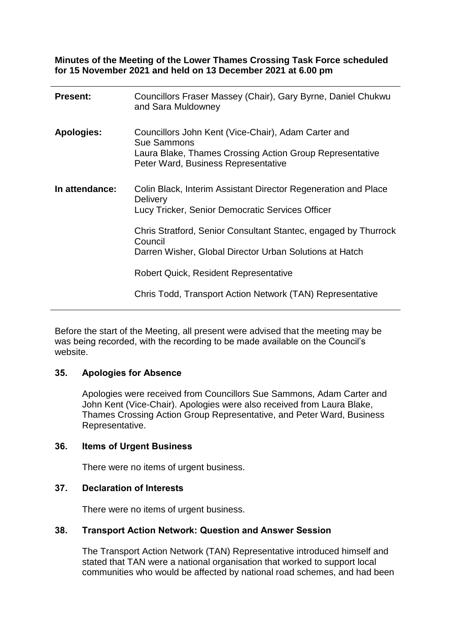**Minutes of the Meeting of the Lower Thames Crossing Task Force scheduled for 15 November 2021 and held on 13 December 2021 at 6.00 pm**

| <b>Present:</b>   | Councillors Fraser Massey (Chair), Gary Byrne, Daniel Chukwu<br>and Sara Muldowney                                                                                    |
|-------------------|-----------------------------------------------------------------------------------------------------------------------------------------------------------------------|
| <b>Apologies:</b> | Councillors John Kent (Vice-Chair), Adam Carter and<br>Sue Sammons<br>Laura Blake, Thames Crossing Action Group Representative<br>Peter Ward, Business Representative |
| In attendance:    | Colin Black, Interim Assistant Director Regeneration and Place<br><b>Delivery</b><br>Lucy Tricker, Senior Democratic Services Officer                                 |
|                   | Chris Stratford, Senior Consultant Stantec, engaged by Thurrock<br>Council<br>Darren Wisher, Global Director Urban Solutions at Hatch                                 |
|                   | <b>Robert Quick, Resident Representative</b>                                                                                                                          |
|                   | Chris Todd, Transport Action Network (TAN) Representative                                                                                                             |

Before the start of the Meeting, all present were advised that the meeting may be was being recorded, with the recording to be made available on the Council's website.

### **35. Apologies for Absence**

Apologies were received from Councillors Sue Sammons, Adam Carter and John Kent (Vice-Chair). Apologies were also received from Laura Blake, Thames Crossing Action Group Representative, and Peter Ward, Business Representative.

### **36. Items of Urgent Business**

There were no items of urgent business.

### **37. Declaration of Interests**

There were no items of urgent business.

### **38. Transport Action Network: Question and Answer Session**

The Transport Action Network (TAN) Representative introduced himself and stated that TAN were a national organisation that worked to support local communities who would be affected by national road schemes, and had been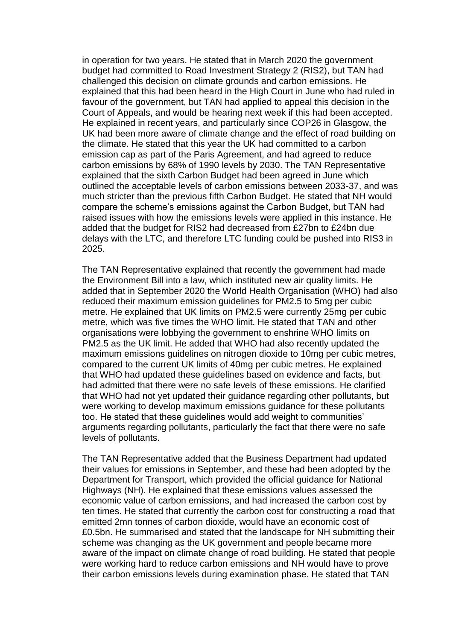in operation for two years. He stated that in March 2020 the government budget had committed to Road Investment Strategy 2 (RIS2), but TAN had challenged this decision on climate grounds and carbon emissions. He explained that this had been heard in the High Court in June who had ruled in favour of the government, but TAN had applied to appeal this decision in the Court of Appeals, and would be hearing next week if this had been accepted. He explained in recent years, and particularly since COP26 in Glasgow, the UK had been more aware of climate change and the effect of road building on the climate. He stated that this year the UK had committed to a carbon emission cap as part of the Paris Agreement, and had agreed to reduce carbon emissions by 68% of 1990 levels by 2030. The TAN Representative explained that the sixth Carbon Budget had been agreed in June which outlined the acceptable levels of carbon emissions between 2033-37, and was much stricter than the previous fifth Carbon Budget. He stated that NH would compare the scheme's emissions against the Carbon Budget, but TAN had raised issues with how the emissions levels were applied in this instance. He added that the budget for RIS2 had decreased from £27bn to £24bn due delays with the LTC, and therefore LTC funding could be pushed into RIS3 in 2025.

The TAN Representative explained that recently the government had made the Environment Bill into a law, which instituted new air quality limits. He added that in September 2020 the World Health Organisation (WHO) had also reduced their maximum emission guidelines for PM2.5 to 5mg per cubic metre. He explained that UK limits on PM2.5 were currently 25mg per cubic metre, which was five times the WHO limit. He stated that TAN and other organisations were lobbying the government to enshrine WHO limits on PM2.5 as the UK limit. He added that WHO had also recently updated the maximum emissions quidelines on nitrogen dioxide to 10mg per cubic metres, compared to the current UK limits of 40mg per cubic metres. He explained that WHO had updated these guidelines based on evidence and facts, but had admitted that there were no safe levels of these emissions. He clarified that WHO had not yet updated their guidance regarding other pollutants, but were working to develop maximum emissions guidance for these pollutants too. He stated that these guidelines would add weight to communities' arguments regarding pollutants, particularly the fact that there were no safe levels of pollutants.

The TAN Representative added that the Business Department had updated their values for emissions in September, and these had been adopted by the Department for Transport, which provided the official guidance for National Highways (NH). He explained that these emissions values assessed the economic value of carbon emissions, and had increased the carbon cost by ten times. He stated that currently the carbon cost for constructing a road that emitted 2mn tonnes of carbon dioxide, would have an economic cost of £0.5bn. He summarised and stated that the landscape for NH submitting their scheme was changing as the UK government and people became more aware of the impact on climate change of road building. He stated that people were working hard to reduce carbon emissions and NH would have to prove their carbon emissions levels during examination phase. He stated that TAN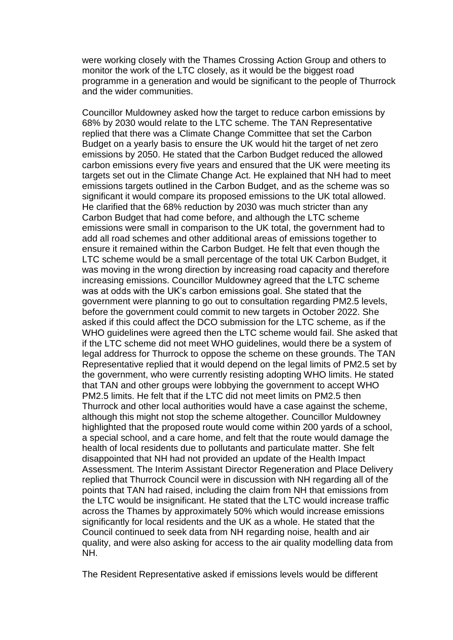were working closely with the Thames Crossing Action Group and others to monitor the work of the LTC closely, as it would be the biggest road programme in a generation and would be significant to the people of Thurrock and the wider communities.

Councillor Muldowney asked how the target to reduce carbon emissions by 68% by 2030 would relate to the LTC scheme. The TAN Representative replied that there was a Climate Change Committee that set the Carbon Budget on a yearly basis to ensure the UK would hit the target of net zero emissions by 2050. He stated that the Carbon Budget reduced the allowed carbon emissions every five years and ensured that the UK were meeting its targets set out in the Climate Change Act. He explained that NH had to meet emissions targets outlined in the Carbon Budget, and as the scheme was so significant it would compare its proposed emissions to the UK total allowed. He clarified that the 68% reduction by 2030 was much stricter than any Carbon Budget that had come before, and although the LTC scheme emissions were small in comparison to the UK total, the government had to add all road schemes and other additional areas of emissions together to ensure it remained within the Carbon Budget. He felt that even though the LTC scheme would be a small percentage of the total UK Carbon Budget, it was moving in the wrong direction by increasing road capacity and therefore increasing emissions. Councillor Muldowney agreed that the LTC scheme was at odds with the UK's carbon emissions goal. She stated that the government were planning to go out to consultation regarding PM2.5 levels, before the government could commit to new targets in October 2022. She asked if this could affect the DCO submission for the LTC scheme, as if the WHO guidelines were agreed then the LTC scheme would fail. She asked that if the LTC scheme did not meet WHO guidelines, would there be a system of legal address for Thurrock to oppose the scheme on these grounds. The TAN Representative replied that it would depend on the legal limits of PM2.5 set by the government, who were currently resisting adopting WHO limits. He stated that TAN and other groups were lobbying the government to accept WHO PM2.5 limits. He felt that if the LTC did not meet limits on PM2.5 then Thurrock and other local authorities would have a case against the scheme, although this might not stop the scheme altogether. Councillor Muldowney highlighted that the proposed route would come within 200 yards of a school, a special school, and a care home, and felt that the route would damage the health of local residents due to pollutants and particulate matter. She felt disappointed that NH had not provided an update of the Health Impact Assessment. The Interim Assistant Director Regeneration and Place Delivery replied that Thurrock Council were in discussion with NH regarding all of the points that TAN had raised, including the claim from NH that emissions from the LTC would be insignificant. He stated that the LTC would increase traffic across the Thames by approximately 50% which would increase emissions significantly for local residents and the UK as a whole. He stated that the Council continued to seek data from NH regarding noise, health and air quality, and were also asking for access to the air quality modelling data from NH.

The Resident Representative asked if emissions levels would be different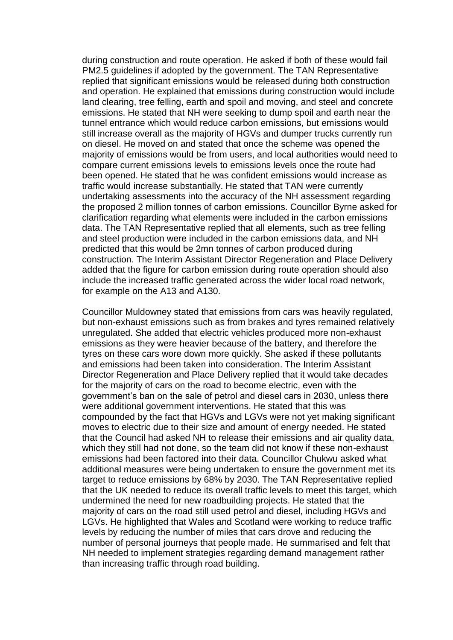during construction and route operation. He asked if both of these would fail PM2.5 guidelines if adopted by the government. The TAN Representative replied that significant emissions would be released during both construction and operation. He explained that emissions during construction would include land clearing, tree felling, earth and spoil and moving, and steel and concrete emissions. He stated that NH were seeking to dump spoil and earth near the tunnel entrance which would reduce carbon emissions, but emissions would still increase overall as the majority of HGVs and dumper trucks currently run on diesel. He moved on and stated that once the scheme was opened the majority of emissions would be from users, and local authorities would need to compare current emissions levels to emissions levels once the route had been opened. He stated that he was confident emissions would increase as traffic would increase substantially. He stated that TAN were currently undertaking assessments into the accuracy of the NH assessment regarding the proposed 2 million tonnes of carbon emissions. Councillor Byrne asked for clarification regarding what elements were included in the carbon emissions data. The TAN Representative replied that all elements, such as tree felling and steel production were included in the carbon emissions data, and NH predicted that this would be 2mn tonnes of carbon produced during construction. The Interim Assistant Director Regeneration and Place Delivery added that the figure for carbon emission during route operation should also include the increased traffic generated across the wider local road network, for example on the A13 and A130.

Councillor Muldowney stated that emissions from cars was heavily regulated, but non-exhaust emissions such as from brakes and tyres remained relatively unregulated. She added that electric vehicles produced more non-exhaust emissions as they were heavier because of the battery, and therefore the tyres on these cars wore down more quickly. She asked if these pollutants and emissions had been taken into consideration. The Interim Assistant Director Regeneration and Place Delivery replied that it would take decades for the majority of cars on the road to become electric, even with the government's ban on the sale of petrol and diesel cars in 2030, unless there were additional government interventions. He stated that this was compounded by the fact that HGVs and LGVs were not yet making significant moves to electric due to their size and amount of energy needed. He stated that the Council had asked NH to release their emissions and air quality data, which they still had not done, so the team did not know if these non-exhaust emissions had been factored into their data. Councillor Chukwu asked what additional measures were being undertaken to ensure the government met its target to reduce emissions by 68% by 2030. The TAN Representative replied that the UK needed to reduce its overall traffic levels to meet this target, which undermined the need for new roadbuilding projects. He stated that the majority of cars on the road still used petrol and diesel, including HGVs and LGVs. He highlighted that Wales and Scotland were working to reduce traffic levels by reducing the number of miles that cars drove and reducing the number of personal journeys that people made. He summarised and felt that NH needed to implement strategies regarding demand management rather than increasing traffic through road building.